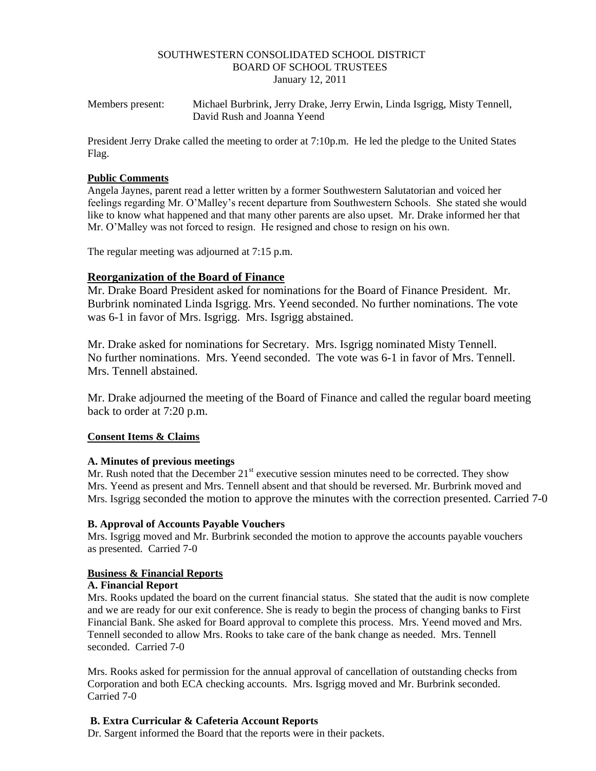#### SOUTHWESTERN CONSOLIDATED SCHOOL DISTRICT BOARD OF SCHOOL TRUSTEES January 12, 2011

Members present: Michael Burbrink, Jerry Drake, Jerry Erwin, Linda Isgrigg, Misty Tennell, David Rush and Joanna Yeend

President Jerry Drake called the meeting to order at 7:10p.m. He led the pledge to the United States Flag.

#### **Public Comments**

Angela Jaynes, parent read a letter written by a former Southwestern Salutatorian and voiced her feelings regarding Mr. O'Malley's recent departure from Southwestern Schools. She stated she would like to know what happened and that many other parents are also upset. Mr. Drake informed her that Mr. O'Malley was not forced to resign. He resigned and chose to resign on his own.

The regular meeting was adjourned at 7:15 p.m.

#### **Reorganization of the Board of Finance**

Mr. Drake Board President asked for nominations for the Board of Finance President. Mr. Burbrink nominated Linda Isgrigg. Mrs. Yeend seconded. No further nominations. The vote was 6-1 in favor of Mrs. Isgrigg. Mrs. Isgrigg abstained.

Mr. Drake asked for nominations for Secretary. Mrs. Isgrigg nominated Misty Tennell. No further nominations. Mrs. Yeend seconded. The vote was 6-1 in favor of Mrs. Tennell. Mrs. Tennell abstained.

Mr. Drake adjourned the meeting of the Board of Finance and called the regular board meeting back to order at 7:20 p.m.

#### **Consent Items & Claims**

#### **A. Minutes of previous meetings**

Mr. Rush noted that the December  $21<sup>st</sup>$  executive session minutes need to be corrected. They show Mrs. Yeend as present and Mrs. Tennell absent and that should be reversed. Mr. Burbrink moved and Mrs. Isgrigg seconded the motion to approve the minutes with the correction presented. Carried 7-0

#### **B. Approval of Accounts Payable Vouchers**

Mrs. Isgrigg moved and Mr. Burbrink seconded the motion to approve the accounts payable vouchers as presented. Carried 7-0

#### **Business & Financial Reports**

#### **A. Financial Report**

Mrs. Rooks updated the board on the current financial status. She stated that the audit is now complete and we are ready for our exit conference. She is ready to begin the process of changing banks to First Financial Bank. She asked for Board approval to complete this process. Mrs. Yeend moved and Mrs. Tennell seconded to allow Mrs. Rooks to take care of the bank change as needed. Mrs. Tennell seconded. Carried 7-0

Mrs. Rooks asked for permission for the annual approval of cancellation of outstanding checks from Corporation and both ECA checking accounts. Mrs. Isgrigg moved and Mr. Burbrink seconded. Carried 7-0

#### **B. Extra Curricular & Cafeteria Account Reports**

Dr. Sargent informed the Board that the reports were in their packets.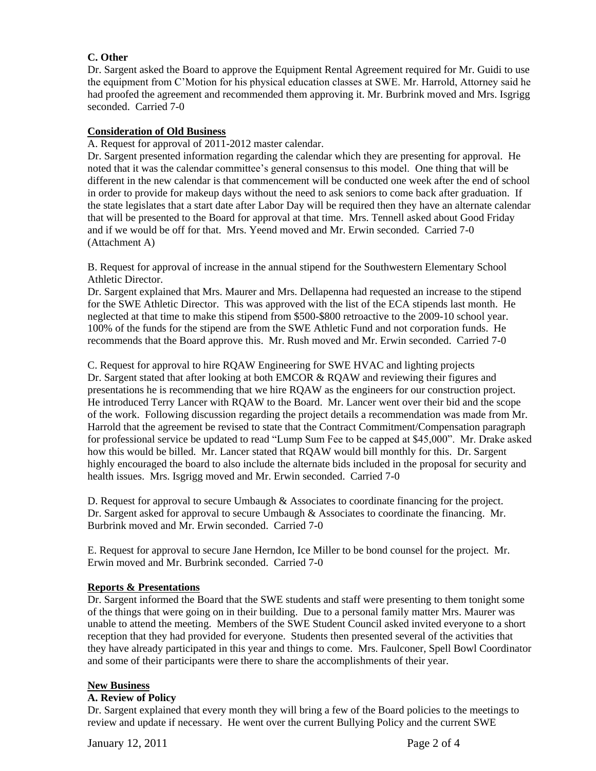#### **C. Other**

Dr. Sargent asked the Board to approve the Equipment Rental Agreement required for Mr. Guidi to use the equipment from C'Motion for his physical education classes at SWE. Mr. Harrold, Attorney said he had proofed the agreement and recommended them approving it. Mr. Burbrink moved and Mrs. Isgrigg seconded. Carried 7-0

#### **Consideration of Old Business**

A. Request for approval of 2011-2012 master calendar.

Dr. Sargent presented information regarding the calendar which they are presenting for approval. He noted that it was the calendar committee's general consensus to this model. One thing that will be different in the new calendar is that commencement will be conducted one week after the end of school in order to provide for makeup days without the need to ask seniors to come back after graduation. If the state legislates that a start date after Labor Day will be required then they have an alternate calendar that will be presented to the Board for approval at that time. Mrs. Tennell asked about Good Friday and if we would be off for that. Mrs. Yeend moved and Mr. Erwin seconded. Carried 7-0 (Attachment A)

B. Request for approval of increase in the annual stipend for the Southwestern Elementary School Athletic Director.

Dr. Sargent explained that Mrs. Maurer and Mrs. Dellapenna had requested an increase to the stipend for the SWE Athletic Director. This was approved with the list of the ECA stipends last month. He neglected at that time to make this stipend from \$500-\$800 retroactive to the 2009-10 school year. 100% of the funds for the stipend are from the SWE Athletic Fund and not corporation funds. He recommends that the Board approve this. Mr. Rush moved and Mr. Erwin seconded. Carried 7-0

C. Request for approval to hire RQAW Engineering for SWE HVAC and lighting projects Dr. Sargent stated that after looking at both EMCOR & ROAW and reviewing their figures and presentations he is recommending that we hire RQAW as the engineers for our construction project. He introduced Terry Lancer with RQAW to the Board. Mr. Lancer went over their bid and the scope of the work. Following discussion regarding the project details a recommendation was made from Mr. Harrold that the agreement be revised to state that the Contract Commitment/Compensation paragraph for professional service be updated to read "Lump Sum Fee to be capped at \$45,000". Mr. Drake asked how this would be billed. Mr. Lancer stated that RQAW would bill monthly for this. Dr. Sargent highly encouraged the board to also include the alternate bids included in the proposal for security and health issues. Mrs. Isgrigg moved and Mr. Erwin seconded. Carried 7-0

D. Request for approval to secure Umbaugh & Associates to coordinate financing for the project. Dr. Sargent asked for approval to secure Umbaugh & Associates to coordinate the financing. Mr. Burbrink moved and Mr. Erwin seconded. Carried 7-0

E. Request for approval to secure Jane Herndon, Ice Miller to be bond counsel for the project. Mr. Erwin moved and Mr. Burbrink seconded. Carried 7-0

#### **Reports & Presentations**

Dr. Sargent informed the Board that the SWE students and staff were presenting to them tonight some of the things that were going on in their building. Due to a personal family matter Mrs. Maurer was unable to attend the meeting. Members of the SWE Student Council asked invited everyone to a short reception that they had provided for everyone. Students then presented several of the activities that they have already participated in this year and things to come. Mrs. Faulconer, Spell Bowl Coordinator and some of their participants were there to share the accomplishments of their year.

#### **New Business**

#### **A. Review of Policy**

Dr. Sargent explained that every month they will bring a few of the Board policies to the meetings to review and update if necessary. He went over the current Bullying Policy and the current SWE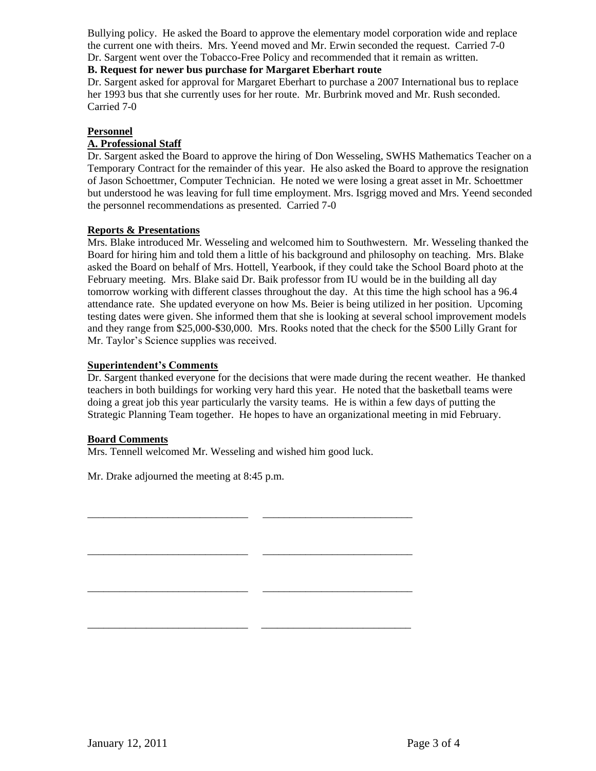Bullying policy. He asked the Board to approve the elementary model corporation wide and replace the current one with theirs. Mrs. Yeend moved and Mr. Erwin seconded the request. Carried 7-0 Dr. Sargent went over the Tobacco-Free Policy and recommended that it remain as written.

#### **B. Request for newer bus purchase for Margaret Eberhart route**

Dr. Sargent asked for approval for Margaret Eberhart to purchase a 2007 International bus to replace her 1993 bus that she currently uses for her route. Mr. Burbrink moved and Mr. Rush seconded. Carried 7-0

#### **Personnel**

#### **A. Professional Staff**

Dr. Sargent asked the Board to approve the hiring of Don Wesseling, SWHS Mathematics Teacher on a Temporary Contract for the remainder of this year. He also asked the Board to approve the resignation of Jason Schoettmer, Computer Technician. He noted we were losing a great asset in Mr. Schoettmer but understood he was leaving for full time employment. Mrs. Isgrigg moved and Mrs. Yeend seconded the personnel recommendations as presented. Carried 7-0

#### **Reports & Presentations**

Mrs. Blake introduced Mr. Wesseling and welcomed him to Southwestern. Mr. Wesseling thanked the Board for hiring him and told them a little of his background and philosophy on teaching. Mrs. Blake asked the Board on behalf of Mrs. Hottell, Yearbook, if they could take the School Board photo at the February meeting. Mrs. Blake said Dr. Baik professor from IU would be in the building all day tomorrow working with different classes throughout the day. At this time the high school has a 96.4 attendance rate. She updated everyone on how Ms. Beier is being utilized in her position. Upcoming testing dates were given. She informed them that she is looking at several school improvement models and they range from \$25,000-\$30,000. Mrs. Rooks noted that the check for the \$500 Lilly Grant for Mr. Taylor's Science supplies was received.

#### **Superintendent's Comments**

Dr. Sargent thanked everyone for the decisions that were made during the recent weather. He thanked teachers in both buildings for working very hard this year. He noted that the basketball teams were doing a great job this year particularly the varsity teams. He is within a few days of putting the Strategic Planning Team together. He hopes to have an organizational meeting in mid February.

#### **Board Comments**

Mrs. Tennell welcomed Mr. Wesseling and wished him good luck.

\_\_\_\_\_\_\_\_\_\_\_\_\_\_\_\_\_\_\_\_\_\_\_\_\_\_\_\_\_\_ \_\_\_\_\_\_\_\_\_\_\_\_\_\_\_\_\_\_\_\_\_\_\_\_\_\_\_\_

\_\_\_\_\_\_\_\_\_\_\_\_\_\_\_\_\_\_\_\_\_\_\_\_\_\_\_\_\_\_ \_\_\_\_\_\_\_\_\_\_\_\_\_\_\_\_\_\_\_\_\_\_\_\_\_\_\_\_

\_\_\_\_\_\_\_\_\_\_\_\_\_\_\_\_\_\_\_\_\_\_\_\_\_\_\_\_\_\_ \_\_\_\_\_\_\_\_\_\_\_\_\_\_\_\_\_\_\_\_\_\_\_\_\_\_\_\_

\_\_\_\_\_\_\_\_\_\_\_\_\_\_\_\_\_\_\_\_\_\_\_\_\_\_\_\_\_\_ \_\_\_\_\_\_\_\_\_\_\_\_\_\_\_\_\_\_\_\_\_\_\_\_\_\_\_\_

Mr. Drake adjourned the meeting at 8:45 p.m.